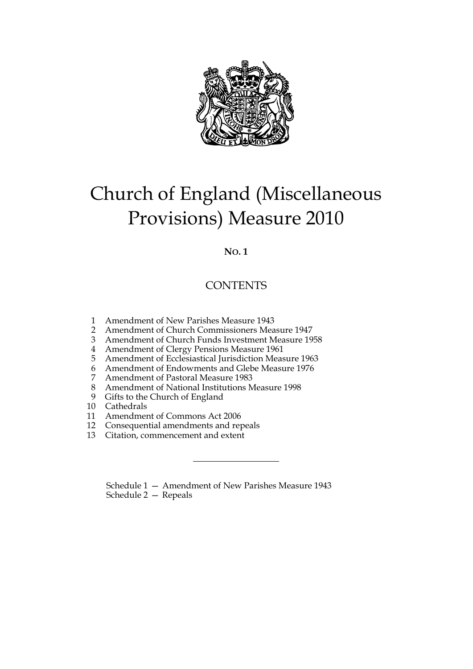

# Church of England (Miscellaneous Provisions) Measure 2010

# **NO. 1**

# **CONTENTS**

- 1 Amendment of New Parishes Measure 1943
- 2 Amendment of Church Commissioners Measure 1947
- 3 Amendment of Church Funds Investment Measure 1958
- 4 Amendment of Clergy Pensions Measure 1961
- 5 Amendment of Ecclesiastical Jurisdiction Measure 1963
- 6 Amendment of Endowments and Glebe Measure 1976<br>7 Amendment of Pastoral Measure 1983
- 7 Amendment of Pastoral Measure 1983
- 8 Amendment of National Institutions Measure 1998<br>9 Gifts to the Church of England
- Gifts to the Church of England
- 10 Cathedrals<br>11 Amendmer
- 11 Amendment of Commons Act 2006<br>12 Consequential amendments and real
- 12 Consequential amendments and repeals<br>13 Citation, commencement and extent
- Citation, commencement and extent

Schedule 1 — Amendment of New Parishes Measure 1943 Schedule 2 — Repeals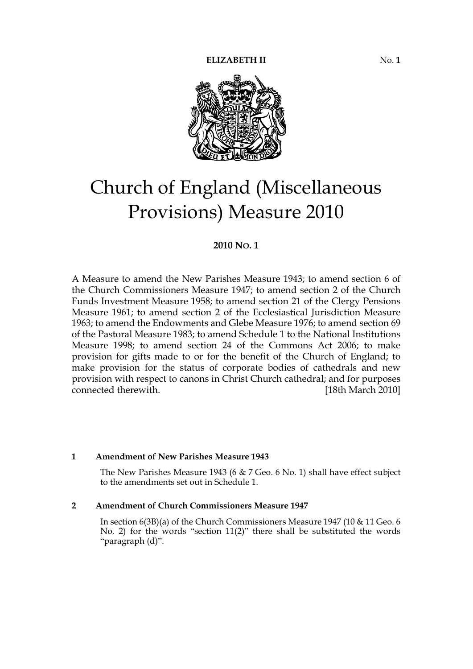

# Church of England (Miscellaneous Provisions) Measure 2010

# **2010 NO. 1**

A Measure to amend the New Parishes Measure 1943; to amend section 6 of the Church Commissioners Measure 1947; to amend section 2 of the Church Funds Investment Measure 1958; to amend section 21 of the Clergy Pensions Measure 1961; to amend section 2 of the Ecclesiastical Jurisdiction Measure 1963; to amend the Endowments and Glebe Measure 1976; to amend section 69 of the Pastoral Measure 1983; to amend Schedule 1 to the National Institutions Measure 1998; to amend section 24 of the Commons Act 2006; to make provision for gifts made to or for the benefit of the Church of England; to make provision for the status of corporate bodies of cathedrals and new provision with respect to canons in Christ Church cathedral; and for purposes connected therewith. [18th March 2010]

## **1 Amendment of New Parishes Measure 1943**

The New Parishes Measure 1943 (6 & 7 Geo. 6 No. 1) shall have effect subject to the amendments set out in Schedule 1.

#### **2 Amendment of Church Commissioners Measure 1947**

In section 6(3B)(a) of the Church Commissioners Measure 1947 (10 & 11 Geo. 6 No. 2) for the words "section 11(2)" there shall be substituted the words "paragraph (d)".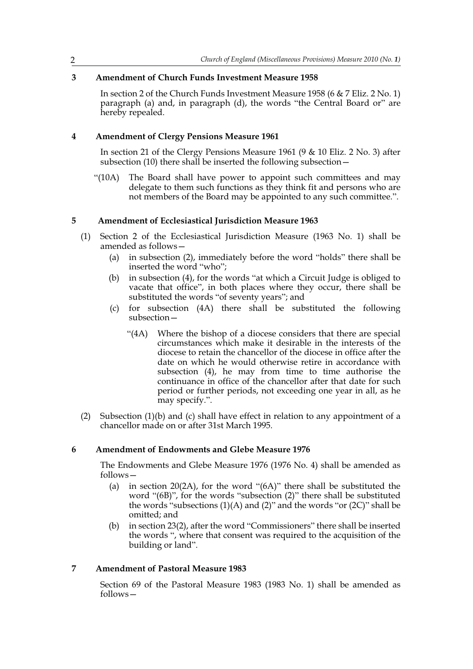# **3 Amendment of Church Funds Investment Measure 1958**

In section 2 of the Church Funds Investment Measure 1958 (6 & 7 Eliz. 2 No. 1) paragraph (a) and, in paragraph (d), the words "the Central Board or" are hereby repealed.

## **4 Amendment of Clergy Pensions Measure 1961**

In section 21 of the Clergy Pensions Measure 1961 (9 & 10 Eliz. 2 No. 3) after subsection (10) there shall be inserted the following subsection  $-$ 

"(10A) The Board shall have power to appoint such committees and may delegate to them such functions as they think fit and persons who are not members of the Board may be appointed to any such committee.".

## **5 Amendment of Ecclesiastical Jurisdiction Measure 1963**

- (1) Section 2 of the Ecclesiastical Jurisdiction Measure (1963 No. 1) shall be amended as follows—
	- (a) in subsection (2), immediately before the word "holds" there shall be inserted the word "who";
	- (b) in subsection (4), for the words "at which a Circuit Judge is obliged to vacate that office", in both places where they occur, there shall be substituted the words "of seventy years"; and
	- (c) for subsection (4A) there shall be substituted the following subsection—
		- "(4A) Where the bishop of a diocese considers that there are special circumstances which make it desirable in the interests of the diocese to retain the chancellor of the diocese in office after the date on which he would otherwise retire in accordance with subsection (4), he may from time to time authorise the continuance in office of the chancellor after that date for such period or further periods, not exceeding one year in all, as he may specify.".
- (2) Subsection (1)(b) and (c) shall have effect in relation to any appointment of a chancellor made on or after 31st March 1995.

## **6 Amendment of Endowments and Glebe Measure 1976**

The Endowments and Glebe Measure 1976 (1976 No. 4) shall be amended as follows—

- (a) in section 20(2A), for the word "(6A)" there shall be substituted the word "(6B)", for the words "subsection (2)" there shall be substituted the words "subsections  $(1)(A)$  and  $(2)$ " and the words "or  $(2C)$ " shall be omitted; and
- (b) in section 23(2), after the word "Commissioners" there shall be inserted the words ", where that consent was required to the acquisition of the building or land".

# **7 Amendment of Pastoral Measure 1983**

Section 69 of the Pastoral Measure 1983 (1983 No. 1) shall be amended as follows—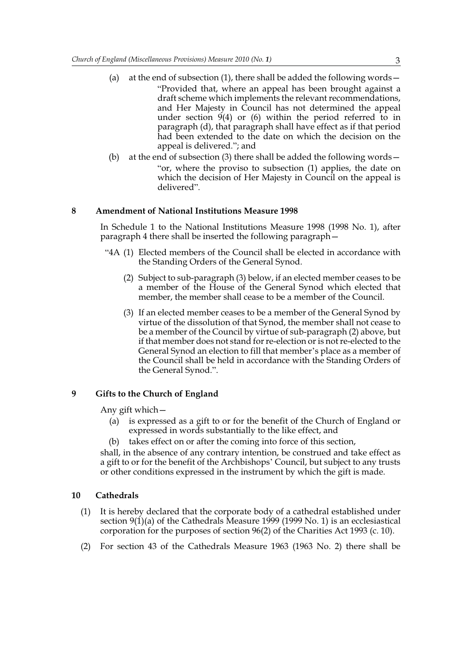- (a) at the end of subsection  $(1)$ , there shall be added the following words  $-$  "Provided that, where an appeal has been brought against a draft scheme which implements the relevant recommendations, and Her Majesty in Council has not determined the appeal under section 9(4) or (6) within the period referred to in paragraph (d), that paragraph shall have effect as if that period had been extended to the date on which the decision on the appeal is delivered."; and
- (b) at the end of subsection (3) there shall be added the following words— "or, where the proviso to subsection (1) applies, the date on which the decision of Her Majesty in Council on the appeal is delivered".

#### **8 Amendment of National Institutions Measure 1998**

In Schedule 1 to the National Institutions Measure 1998 (1998 No. 1), after paragraph 4 there shall be inserted the following paragraph—

- "4A (1) Elected members of the Council shall be elected in accordance with the Standing Orders of the General Synod.
	- (2) Subject to sub-paragraph (3) below, if an elected member ceases to be a member of the House of the General Synod which elected that member, the member shall cease to be a member of the Council.
	- (3) If an elected member ceases to be a member of the General Synod by virtue of the dissolution of that Synod, the member shall not cease to be a member of the Council by virtue of sub-paragraph (2) above, but if that member does not stand for re-election or is not re-elected to the General Synod an election to fill that member's place as a member of the Council shall be held in accordance with the Standing Orders of the General Synod.".

#### **9 Gifts to the Church of England**

Any gift which—

- (a) is expressed as a gift to or for the benefit of the Church of England or expressed in words substantially to the like effect, and
- (b) takes effect on or after the coming into force of this section,

shall, in the absence of any contrary intention, be construed and take effect as a gift to or for the benefit of the Archbishops' Council, but subject to any trusts or other conditions expressed in the instrument by which the gift is made.

#### **10 Cathedrals**

- (1) It is hereby declared that the corporate body of a cathedral established under section  $9(1)(a)$  of the Cathedrals Measure 1999 (1999 No. 1) is an ecclesiastical corporation for the purposes of section 96(2) of the Charities Act 1993 (c. 10).
- (2) For section 43 of the Cathedrals Measure 1963 (1963 No. 2) there shall be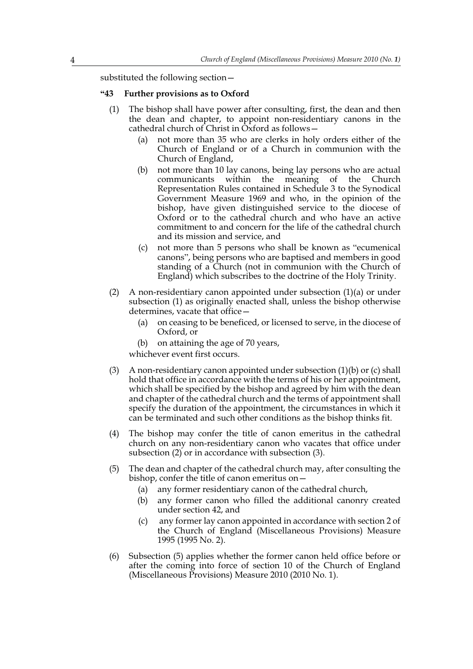substituted the following section—

#### **"43 Further provisions as to Oxford**

- (1) The bishop shall have power after consulting, first, the dean and then the dean and chapter, to appoint non-residentiary canons in the cathedral church of Christ in  $\overrightarrow{O}x$  ford as follows -
	- (a) not more than 35 who are clerks in holy orders either of the Church of England or of a Church in communion with the Church of England,
	- (b) not more than 10 lay canons, being lay persons who are actual communicants within the meaning of the Church Representation Rules contained in Schedule 3 to the Synodical Government Measure 1969 and who, in the opinion of the bishop, have given distinguished service to the diocese of Oxford or to the cathedral church and who have an active commitment to and concern for the life of the cathedral church and its mission and service, and
	- (c) not more than 5 persons who shall be known as "ecumenical canons", being persons who are baptised and members in good standing of a Church (not in communion with the Church of England) which subscribes to the doctrine of the Holy Trinity.
- (2) A non-residentiary canon appointed under subsection (1)(a) or under subsection (1) as originally enacted shall, unless the bishop otherwise determines, vacate that office—
	- (a) on ceasing to be beneficed, or licensed to serve, in the diocese of Oxford, or
	- (b) on attaining the age of 70 years,

whichever event first occurs.

- (3) A non-residentiary canon appointed under subsection (1)(b) or (c) shall hold that office in accordance with the terms of his or her appointment, which shall be specified by the bishop and agreed by him with the dean and chapter of the cathedral church and the terms of appointment shall specify the duration of the appointment, the circumstances in which it can be terminated and such other conditions as the bishop thinks fit.
- (4) The bishop may confer the title of canon emeritus in the cathedral church on any non-residentiary canon who vacates that office under subsection (2) or in accordance with subsection (3).
- (5) The dean and chapter of the cathedral church may, after consulting the bishop, confer the title of canon emeritus on—
	- (a) any former residentiary canon of the cathedral church,
	- (b) any former canon who filled the additional canonry created under section 42, and
	- (c) any former lay canon appointed in accordance with section 2 of the Church of England (Miscellaneous Provisions) Measure 1995 (1995 No. 2).
- (6) Subsection (5) applies whether the former canon held office before or after the coming into force of section 10 of the Church of England (Miscellaneous Provisions) Measure 2010 (2010 No. 1).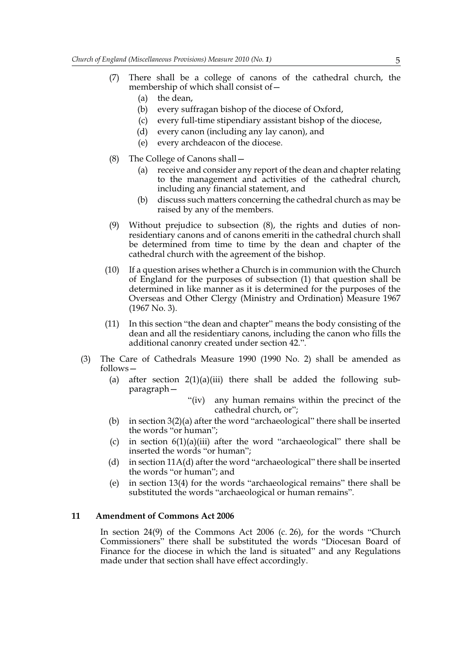- (7) There shall be a college of canons of the cathedral church, the membership of which shall consist of—
	- (a) the dean,
	- (b) every suffragan bishop of the diocese of Oxford,
	- (c) every full-time stipendiary assistant bishop of the diocese,
	- (d) every canon (including any lay canon), and
	- (e) every archdeacon of the diocese.
- (8) The College of Canons shall—
	- (a) receive and consider any report of the dean and chapter relating to the management and activities of the cathedral church, including any financial statement, and
	- (b) discuss such matters concerning the cathedral church as may be raised by any of the members.
- (9) Without prejudice to subsection (8), the rights and duties of nonresidentiary canons and of canons emeriti in the cathedral church shall be determined from time to time by the dean and chapter of the cathedral church with the agreement of the bishop.
- (10) If a question arises whether a Church is in communion with the Church of England for the purposes of subsection (1) that question shall be determined in like manner as it is determined for the purposes of the Overseas and Other Clergy (Ministry and Ordination) Measure 1967 (1967 No. 3).
- (11) In this section "the dean and chapter" means the body consisting of the dean and all the residentiary canons, including the canon who fills the additional canonry created under section 42.".
- (3) The Care of Cathedrals Measure 1990 (1990 No. 2) shall be amended as follows—
	- (a) after section  $2(1)(a)(iii)$  there shall be added the following subparagraph—
		- "(iv) any human remains within the precinct of the cathedral church, or";
	- (b) in section 3(2)(a) after the word "archaeological" there shall be inserted the words "or human";
	- (c) in section  $6(1)(a)(iii)$  after the word "archaeological" there shall be inserted the words "or human";
	- (d) in section 11A(d) after the word "archaeological" there shall be inserted the words "or human"; and
	- (e) in section 13(4) for the words "archaeological remains" there shall be substituted the words "archaeological or human remains".

#### **11 Amendment of Commons Act 2006**

In section 24(9) of the Commons Act 2006 (c. 26), for the words "Church Commissioners" there shall be substituted the words "Diocesan Board of Finance for the diocese in which the land is situated" and any Regulations made under that section shall have effect accordingly.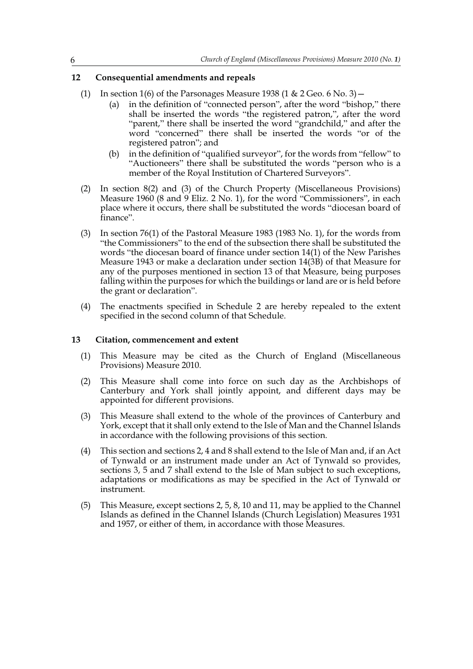# **12 Consequential amendments and repeals**

- (1) In section 1(6) of the Parsonages Measure 1938 (1 & 2 Geo. 6 No. 3)  $-$ 
	- (a) in the definition of "connected person", after the word "bishop," there shall be inserted the words "the registered patron,", after the word "parent," there shall be inserted the word "grandchild," and after the word "concerned" there shall be inserted the words "or of the registered patron"; and
	- (b) in the definition of "qualified surveyor", for the words from "fellow" to "Auctioneers" there shall be substituted the words "person who is a member of the Royal Institution of Chartered Surveyors".
- (2) In section 8(2) and (3) of the Church Property (Miscellaneous Provisions) Measure 1960 (8 and 9 Eliz. 2 No. 1), for the word "Commissioners", in each place where it occurs, there shall be substituted the words "diocesan board of finance".
- (3) In section 76(1) of the Pastoral Measure 1983 (1983 No. 1), for the words from "the Commissioners" to the end of the subsection there shall be substituted the words "the diocesan board of finance under section 14(1) of the New Parishes Measure 1943 or make a declaration under section 14(3B) of that Measure for any of the purposes mentioned in section 13 of that Measure, being purposes falling within the purposes for which the buildings or land are or is held before the grant or declaration".
- (4) The enactments specified in Schedule 2 are hereby repealed to the extent specified in the second column of that Schedule.

#### **13 Citation, commencement and extent**

- (1) This Measure may be cited as the Church of England (Miscellaneous Provisions) Measure 2010.
- (2) This Measure shall come into force on such day as the Archbishops of Canterbury and York shall jointly appoint, and different days may be appointed for different provisions.
- (3) This Measure shall extend to the whole of the provinces of Canterbury and York, except that it shall only extend to the Isle of Man and the Channel Islands in accordance with the following provisions of this section.
- (4) This section and sections 2, 4 and 8 shall extend to the Isle of Man and, if an Act of Tynwald or an instrument made under an Act of Tynwald so provides, sections 3, 5 and 7 shall extend to the Isle of Man subject to such exceptions, adaptations or modifications as may be specified in the Act of Tynwald or instrument.
- (5) This Measure, except sections 2, 5, 8, 10 and 11, may be applied to the Channel Islands as defined in the Channel Islands (Church Legislation) Measures 1931 and 1957, or either of them, in accordance with those Measures.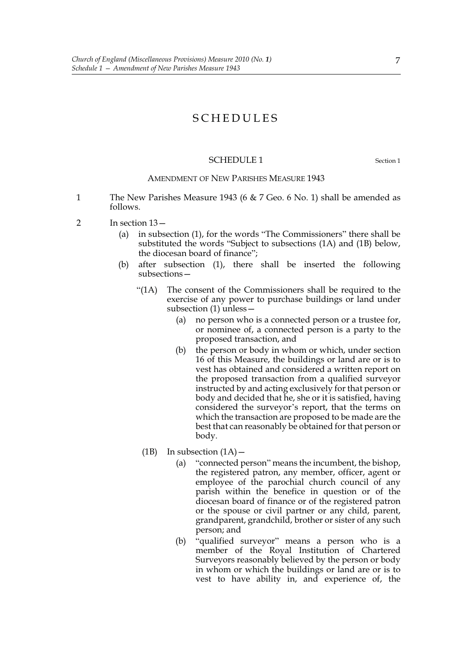# SCHEDULES

#### SCHEDULE 1 Section 1

#### AMENDMENT OF NEW PARISHES MEASURE 1943

- 1 The New Parishes Measure 1943 (6 & 7 Geo. 6 No. 1) shall be amended as follows.
- 2 In section 13—
	- (a) in subsection (1), for the words "The Commissioners" there shall be substituted the words "Subject to subsections (1A) and (1B) below, the diocesan board of finance";
	- (b) after subsection (1), there shall be inserted the following subsections—
		- "(1A) The consent of the Commissioners shall be required to the exercise of any power to purchase buildings or land under subsection (1) unless—
			- (a) no person who is a connected person or a trustee for, or nominee of, a connected person is a party to the proposed transaction, and
			- (b) the person or body in whom or which, under section 16 of this Measure, the buildings or land are or is to vest has obtained and considered a written report on the proposed transaction from a qualified surveyor instructed by and acting exclusively for that person or body and decided that he, she or it is satisfied, having considered the surveyor's report, that the terms on which the transaction are proposed to be made are the best that can reasonably be obtained for that person or body.
		- (1B) In subsection  $(1A)$ 
			- (a) "connected person" means the incumbent, the bishop, the registered patron, any member, officer, agent or employee of the parochial church council of any parish within the benefice in question or of the diocesan board of finance or of the registered patron or the spouse or civil partner or any child, parent, grandparent, grandchild, brother or sister of any such person; and
			- (b) "qualified surveyor" means a person who is a member of the Royal Institution of Chartered Surveyors reasonably believed by the person or body in whom or which the buildings or land are or is to vest to have ability in, and experience of, the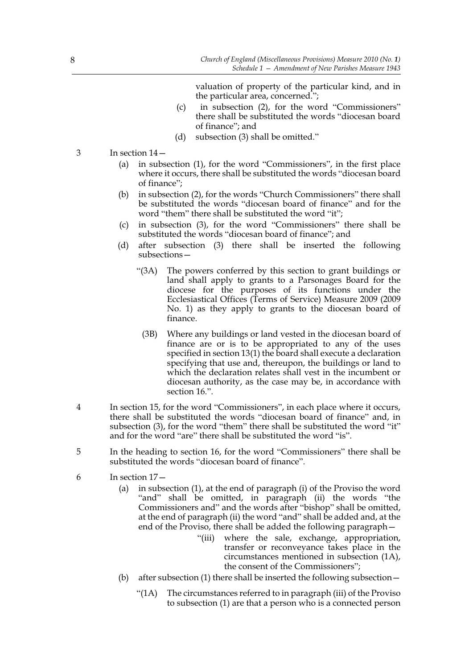valuation of property of the particular kind, and in the particular area, concerned.";

- (c) in subsection (2), for the word "Commissioners" there shall be substituted the words "diocesan board of finance"; and
- (d) subsection (3) shall be omitted."
- 3 In section 14—
	- (a) in subsection (1), for the word "Commissioners", in the first place where it occurs, there shall be substituted the words "diocesan board of finance";
	- (b) in subsection (2), for the words "Church Commissioners" there shall be substituted the words "diocesan board of finance" and for the word "them" there shall be substituted the word "it";
	- (c) in subsection (3), for the word "Commissioners" there shall be substituted the words "diocesan board of finance"; and
	- (d) after subsection (3) there shall be inserted the following subsections—
		- "(3A) The powers conferred by this section to grant buildings or land shall apply to grants to a Parsonages Board for the diocese for the purposes of its functions under the Ecclesiastical Offices (Terms of Service) Measure 2009 (2009 No. 1) as they apply to grants to the diocesan board of finance.
			- (3B) Where any buildings or land vested in the diocesan board of finance are or is to be appropriated to any of the uses specified in section 13(1) the board shall execute a declaration specifying that use and, thereupon, the buildings or land to which the declaration relates shall vest in the incumbent or diocesan authority, as the case may be, in accordance with section 16.".
- 4 In section 15, for the word "Commissioners", in each place where it occurs, there shall be substituted the words "diocesan board of finance" and, in subsection (3), for the word "them" there shall be substituted the word "it" and for the word "are" there shall be substituted the word "is".
- 5 In the heading to section 16, for the word "Commissioners" there shall be substituted the words "diocesan board of finance".
- 6 In section 17—
	- (a) in subsection (1), at the end of paragraph (i) of the Proviso the word "and" shall be omitted, in paragraph (ii) the words "the Commissioners and" and the words after "bishop" shall be omitted, at the end of paragraph (ii) the word "and" shall be added and, at the end of the Proviso, there shall be added the following paragraph—
		- "(iii) where the sale, exchange, appropriation, transfer or reconveyance takes place in the circumstances mentioned in subsection (1A), the consent of the Commissioners";
	- (b) after subsection (1) there shall be inserted the following subsection—
		- "(1A) The circumstances referred to in paragraph (iii) of the Proviso to subsection (1) are that a person who is a connected person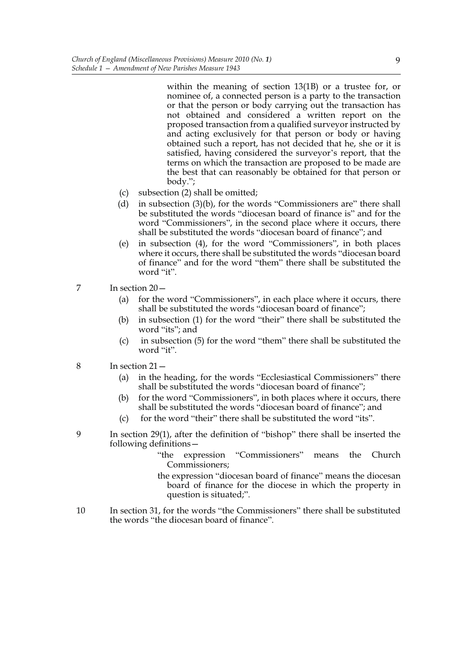within the meaning of section 13(1B) or a trustee for, or nominee of, a connected person is a party to the transaction or that the person or body carrying out the transaction has not obtained and considered a written report on the proposed transaction from a qualified surveyor instructed by and acting exclusively for that person or body or having obtained such a report, has not decided that he, she or it is satisfied, having considered the surveyor's report, that the terms on which the transaction are proposed to be made are the best that can reasonably be obtained for that person or body.";

- (c) subsection (2) shall be omitted;
- (d) in subsection (3)(b), for the words "Commissioners are" there shall be substituted the words "diocesan board of finance is" and for the word "Commissioners", in the second place where it occurs, there shall be substituted the words "diocesan board of finance"; and
- (e) in subsection (4), for the word "Commissioners", in both places where it occurs, there shall be substituted the words "diocesan board of finance" and for the word "them" there shall be substituted the word "it".
- 7 In section 20—
	- (a) for the word "Commissioners", in each place where it occurs, there shall be substituted the words "diocesan board of finance";
	- (b) in subsection (1) for the word "their" there shall be substituted the word "its"; and
	- (c) in subsection (5) for the word "them" there shall be substituted the word "it".
- 8 In section 21—
	- (a) in the heading, for the words "Ecclesiastical Commissioners" there shall be substituted the words "diocesan board of finance";
	- (b) for the word "Commissioners", in both places where it occurs, there shall be substituted the words "diocesan board of finance"; and
	- (c) for the word "their" there shall be substituted the word "its".
- 9 In section 29(1), after the definition of "bishop" there shall be inserted the following definitions—
	- "the expression "Commissioners" means the Church Commissioners;
	- the expression "diocesan board of finance" means the diocesan board of finance for the diocese in which the property in question is situated;".
- 10 In section 31, for the words "the Commissioners" there shall be substituted the words "the diocesan board of finance".